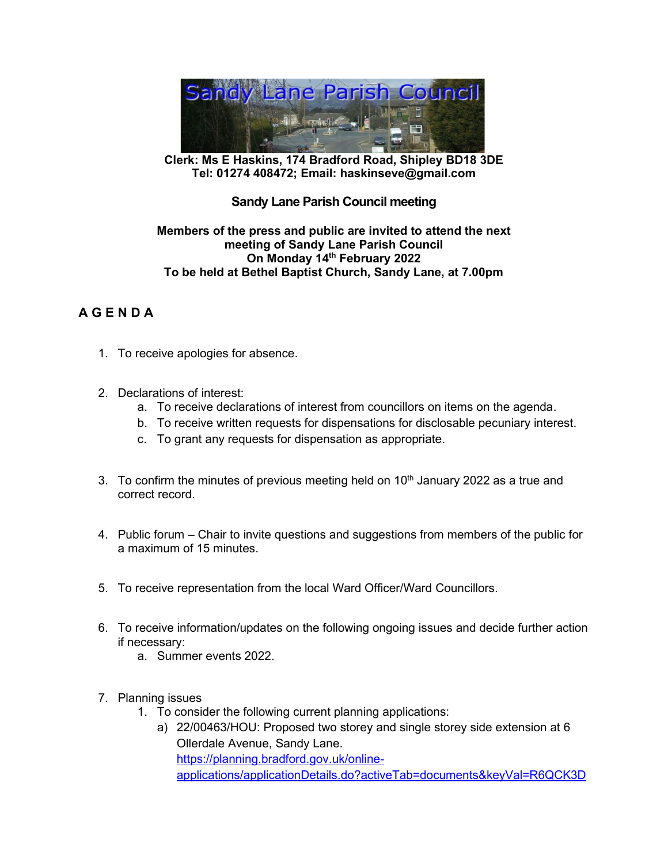

**Clerk: Ms E Haskins, 174 Bradford Road, Shipley BD18 3DE Tel: 01274 408472; Email: haskinseve@gmail.com**

## **Sandy Lane Parish Council meeting**

## **Members of the press and public are invited to attend the next meeting of Sandy Lane Parish Council On Monday 14th February 2022 To be held at Bethel Baptist Church, Sandy Lane, at 7.00pm**

## **A G E N D A**

- 1. To receive apologies for absence.
- 2. Declarations of interest:
	- a. To receive declarations of interest from councillors on items on the agenda.
	- b. To receive written requests for dispensations for disclosable pecuniary interest.
	- c. To grant any requests for dispensation as appropriate.
- 3. To confirm the minutes of previous meeting held on  $10<sup>th</sup>$  January 2022 as a true and correct record.
- 4. Public forum Chair to invite questions and suggestions from members of the public for a maximum of 15 minutes.
- 5. To receive representation from the local Ward Officer/Ward Councillors.
- 6. To receive information/updates on the following ongoing issues and decide further action if necessary:
	- a. Summer events 2022.
- 7. Planning issues
	- 1. To consider the following current planning applications:
		- a) 22/00463/HOU: Proposed two storey and single storey side extension at 6 Ollerdale Avenue, Sandy Lane. [https://planning.bradford.gov.uk/online](https://planning.bradford.gov.uk/online-applications/applicationDetails.do?activeTab=documents&keyVal=R6QCK3DHGP800)[applications/applicationDetails.do?activeTab=documents&keyVal=R6QCK3D](https://planning.bradford.gov.uk/online-applications/applicationDetails.do?activeTab=documents&keyVal=R6QCK3DHGP800)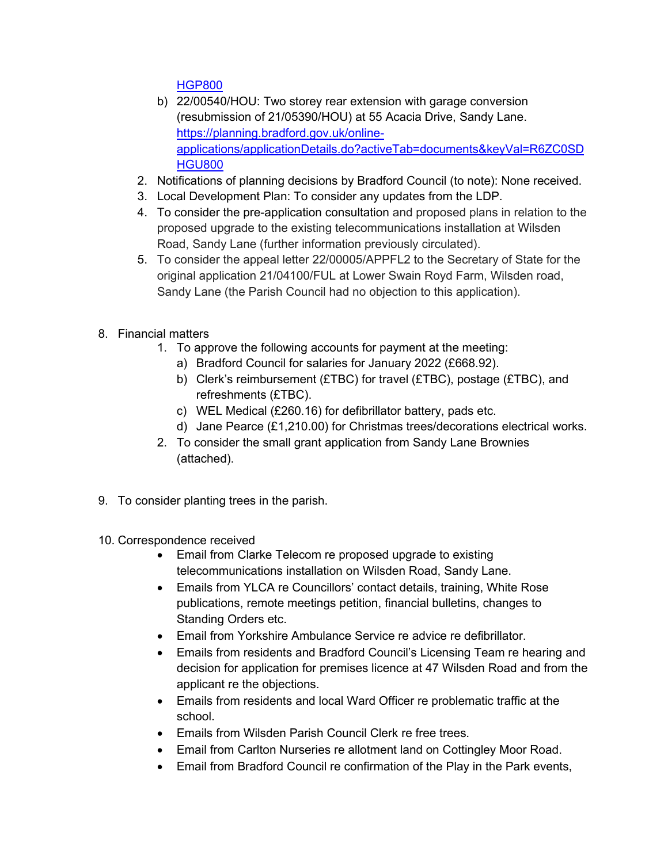[HGP800](https://planning.bradford.gov.uk/online-applications/applicationDetails.do?activeTab=documents&keyVal=R6QCK3DHGP800)

- b) 22/00540/HOU: Two storey rear extension with garage conversion (resubmission of 21/05390/HOU) at 55 Acacia Drive, Sandy Lane. [https://planning.bradford.gov.uk/online](https://planning.bradford.gov.uk/online-applications/applicationDetails.do?activeTab=documents&keyVal=R6ZC0SDHGU800)[applications/applicationDetails.do?activeTab=documents&keyVal=R6ZC0SD](https://planning.bradford.gov.uk/online-applications/applicationDetails.do?activeTab=documents&keyVal=R6ZC0SDHGU800) [HGU800](https://planning.bradford.gov.uk/online-applications/applicationDetails.do?activeTab=documents&keyVal=R6ZC0SDHGU800)
- 2. Notifications of planning decisions by Bradford Council (to note): None received.
- 3. Local Development Plan: To consider any updates from the LDP.
- 4. To consider the pre-application consultation and proposed plans in relation to the proposed upgrade to the existing telecommunications installation at Wilsden Road, Sandy Lane (further information previously circulated).
- 5. To consider the appeal letter 22/00005/APPFL2 to the Secretary of State for the original application 21/04100/FUL at Lower Swain Royd Farm, Wilsden road, Sandy Lane (the Parish Council had no objection to this application).
- 8. Financial matters
	- 1. To approve the following accounts for payment at the meeting:
		- a) Bradford Council for salaries for January 2022 (£668.92).
		- b) Clerk's reimbursement (£TBC) for travel (£TBC), postage (£TBC), and refreshments (£TBC).
		- c) WEL Medical (£260.16) for defibrillator battery, pads etc.
		- d) Jane Pearce (£1,210.00) for Christmas trees/decorations electrical works.
	- 2. To consider the small grant application from Sandy Lane Brownies (attached).
- 9. To consider planting trees in the parish.
- 10. Correspondence received
	- Email from Clarke Telecom re proposed upgrade to existing telecommunications installation on Wilsden Road, Sandy Lane.
	- Emails from YLCA re Councillors' contact details, training, White Rose publications, remote meetings petition, financial bulletins, changes to Standing Orders etc.
	- Email from Yorkshire Ambulance Service re advice re defibrillator.
	- Emails from residents and Bradford Council's Licensing Team re hearing and decision for application for premises licence at 47 Wilsden Road and from the applicant re the objections.
	- Emails from residents and local Ward Officer re problematic traffic at the school.
	- Emails from Wilsden Parish Council Clerk re free trees.
	- Email from Carlton Nurseries re allotment land on Cottingley Moor Road.
	- Email from Bradford Council re confirmation of the Play in the Park events,